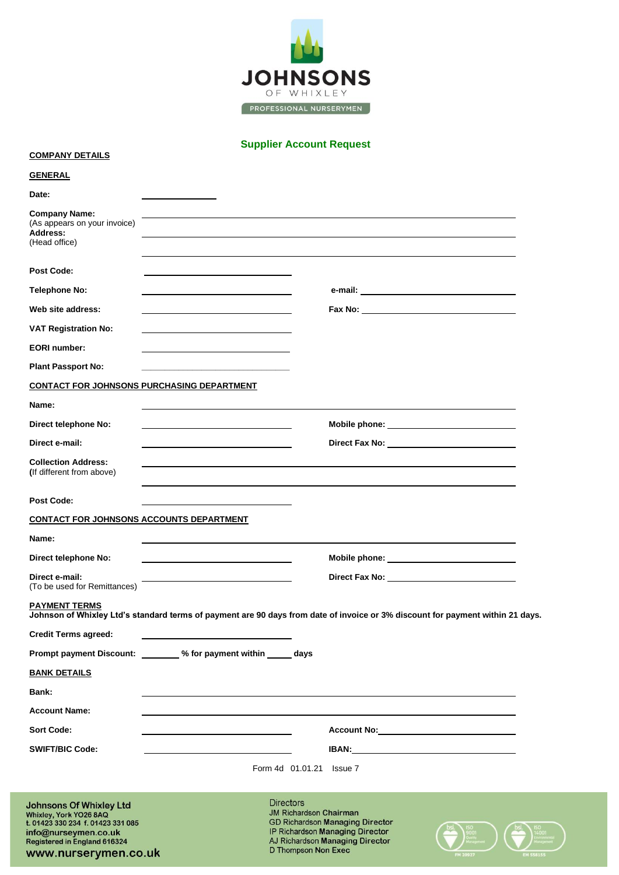

**Supplier Account Request**

#### **COMPANY DETAILS**

www.nurserymen.co.uk

| <b>GENERAL</b>                                                                                                                                                                |                                                                                                                                                                                          |  |                                                                                                                                |
|-------------------------------------------------------------------------------------------------------------------------------------------------------------------------------|------------------------------------------------------------------------------------------------------------------------------------------------------------------------------------------|--|--------------------------------------------------------------------------------------------------------------------------------|
| Date:                                                                                                                                                                         |                                                                                                                                                                                          |  |                                                                                                                                |
| <b>Company Name:</b><br>(As appears on your invoice)<br>Address:<br>(Head office)                                                                                             |                                                                                                                                                                                          |  |                                                                                                                                |
| Post Code:                                                                                                                                                                    |                                                                                                                                                                                          |  |                                                                                                                                |
| <b>Telephone No:</b>                                                                                                                                                          |                                                                                                                                                                                          |  |                                                                                                                                |
| Web site address:                                                                                                                                                             |                                                                                                                                                                                          |  |                                                                                                                                |
| <b>VAT Registration No:</b>                                                                                                                                                   |                                                                                                                                                                                          |  |                                                                                                                                |
| <b>EORI</b> number:                                                                                                                                                           |                                                                                                                                                                                          |  |                                                                                                                                |
| <b>Plant Passport No:</b>                                                                                                                                                     |                                                                                                                                                                                          |  |                                                                                                                                |
| <b>CONTACT FOR JOHNSONS PURCHASING DEPARTMENT</b>                                                                                                                             |                                                                                                                                                                                          |  |                                                                                                                                |
| Name:                                                                                                                                                                         |                                                                                                                                                                                          |  |                                                                                                                                |
| Direct telephone No:                                                                                                                                                          |                                                                                                                                                                                          |  | Mobile phone: _______________________________                                                                                  |
| Direct e-mail:                                                                                                                                                                |                                                                                                                                                                                          |  |                                                                                                                                |
| <b>Collection Address:</b><br>(If different from above)                                                                                                                       |                                                                                                                                                                                          |  |                                                                                                                                |
| Post Code:                                                                                                                                                                    |                                                                                                                                                                                          |  |                                                                                                                                |
| <b>CONTACT FOR JOHNSONS ACCOUNTS DEPARTMENT</b>                                                                                                                               |                                                                                                                                                                                          |  |                                                                                                                                |
| Name:                                                                                                                                                                         |                                                                                                                                                                                          |  |                                                                                                                                |
| Direct telephone No:                                                                                                                                                          |                                                                                                                                                                                          |  |                                                                                                                                |
| Direct e-mail:<br>(To be used for Remittances)                                                                                                                                |                                                                                                                                                                                          |  |                                                                                                                                |
| <b>PAYMENT TERMS</b>                                                                                                                                                          |                                                                                                                                                                                          |  | Johnson of Whixley Ltd's standard terms of payment are 90 days from date of invoice or 3% discount for payment within 21 days. |
| <b>Credit Terms agreed:</b>                                                                                                                                                   |                                                                                                                                                                                          |  |                                                                                                                                |
|                                                                                                                                                                               | Prompt payment Discount: ________ % for payment within _____ days                                                                                                                        |  |                                                                                                                                |
| <b>BANK DETAILS</b>                                                                                                                                                           |                                                                                                                                                                                          |  |                                                                                                                                |
| Bank:                                                                                                                                                                         |                                                                                                                                                                                          |  |                                                                                                                                |
| <b>Account Name:</b>                                                                                                                                                          |                                                                                                                                                                                          |  |                                                                                                                                |
| <b>Sort Code:</b>                                                                                                                                                             |                                                                                                                                                                                          |  | Account No:                                                                                                                    |
| <b>SWIFT/BIC Code:</b>                                                                                                                                                        |                                                                                                                                                                                          |  | <b>IBAN: IBAN: IBAN:</b>                                                                                                       |
|                                                                                                                                                                               |                                                                                                                                                                                          |  | Form 4d 01.01.21 Issue 7                                                                                                       |
| <b>Johnsons Of Whixley Ltd</b><br>Whixley, York YO26 8AQ<br>t. 01423 330 234 f. 01423 331 085<br>info@nurseymen.co.uk<br>Registered in England 616324<br>www.nurservmen.co.uk | <b>Directors</b><br><b>JM Richardson Chairman</b><br><b>GD Richardson Managing Director</b><br>IP Richardson Managing Director<br>AJ Richardson Managing Director<br>D Thompson Non Exec |  |                                                                                                                                |

M 20927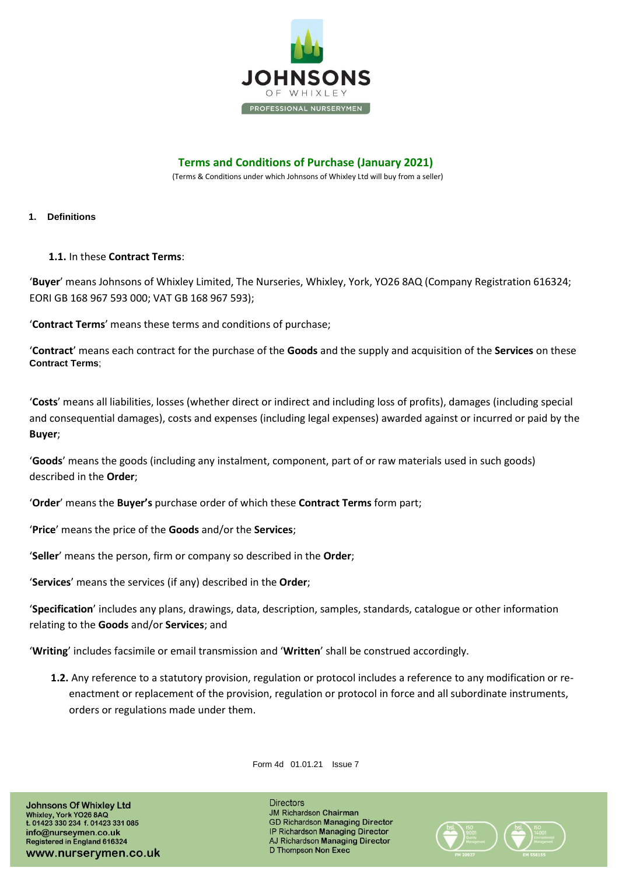

# **Terms and Conditions of Purchase (January 2021)**

(Terms & Conditions under which Johnsons of Whixley Ltd will buy from a seller)

#### **1. Definitions**

## **1.1.** In these **Contract Terms**:

'**Buyer**' means Johnsons of Whixley Limited, The Nurseries, Whixley, York, YO26 8AQ (Company Registration 616324; EORI GB 168 967 593 000; VAT GB 168 967 593);

'**Contract Terms**' means these terms and conditions of purchase;

'**Contract**' means each contract for the purchase of the **Goods** and the supply and acquisition of the **Services** on these **Contract Terms**;

'**Costs**' means all liabilities, losses (whether direct or indirect and including loss of profits), damages (including special and consequential damages), costs and expenses (including legal expenses) awarded against or incurred or paid by the **Buyer**;

'**Goods**' means the goods (including any instalment, component, part of or raw materials used in such goods) described in the **Order**;

'**Order**' means the **Buyer's** purchase order of which these **Contract Terms** form part;

'**Price**' means the price of the **Goods** and/or the **Services**;

'**Seller**' means the person, firm or company so described in the **Order**;

'**Services**' means the services (if any) described in the **Order**;

'**Specification**' includes any plans, drawings, data, description, samples, standards, catalogue or other information relating to the **Goods** and/or **Services**; and

'**Writing**' includes facsimile or email transmission and '**Written**' shall be construed accordingly.

**1.2.** Any reference to a statutory provision, regulation or protocol includes a reference to any modification or reenactment or replacement of the provision, regulation or protocol in force and all subordinate instruments, orders or regulations made under them.

Form 4d 01.01.21 Issue 7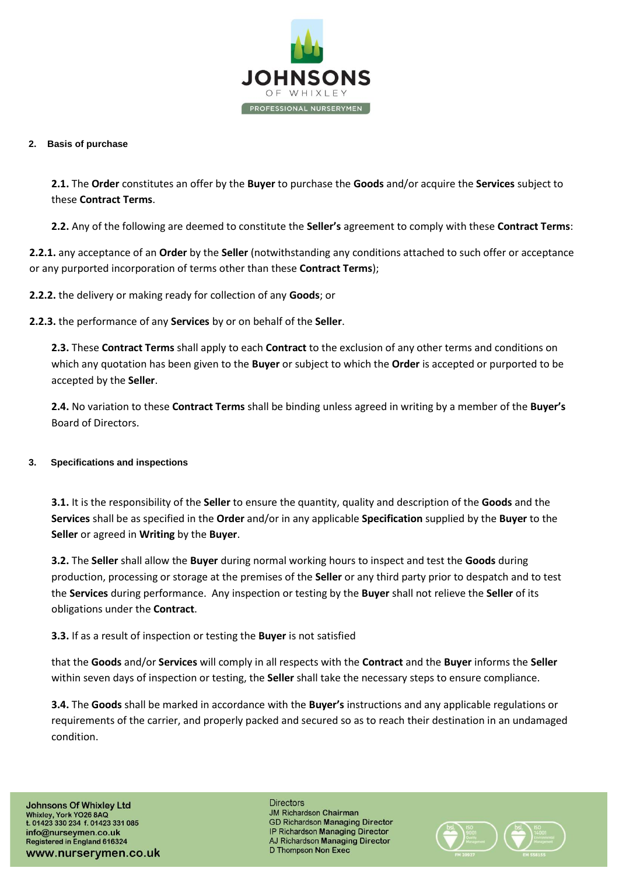

#### **2. Basis of purchase**

**2.1.** The **Order** constitutes an offer by the **Buyer** to purchase the **Goods** and/or acquire the **Services** subject to these **Contract Terms**.

**2.2.** Any of the following are deemed to constitute the **Seller's** agreement to comply with these **Contract Terms**:

**2.2.1.** any acceptance of an **Order** by the **Seller** (notwithstanding any conditions attached to such offer or acceptance or any purported incorporation of terms other than these **Contract Terms**);

**2.2.2.** the delivery or making ready for collection of any **Goods**; or

**2.2.3.** the performance of any **Services** by or on behalf of the **Seller**.

**2.3.** These **Contract Terms** shall apply to each **Contract** to the exclusion of any other terms and conditions on which any quotation has been given to the **Buyer** or subject to which the **Order** is accepted or purported to be accepted by the **Seller**.

**2.4.** No variation to these **Contract Terms** shall be binding unless agreed in writing by a member of the **Buyer's** Board of Directors.

## **3. Specifications and inspections**

**3.1.** It is the responsibility of the **Seller** to ensure the quantity, quality and description of the **Goods** and the **Services** shall be as specified in the **Order** and/or in any applicable **Specification** supplied by the **Buyer** to the **Seller** or agreed in **Writing** by the **Buyer**.

**3.2.** The **Seller** shall allow the **Buyer** during normal working hours to inspect and test the **Goods** during production, processing or storage at the premises of the **Seller** or any third party prior to despatch and to test the **Services** during performance. Any inspection or testing by the **Buyer** shall not relieve the **Seller** of its obligations under the **Contract**.

## **3.3.** If as a result of inspection or testing the **Buyer** is not satisfied

that the **Goods** and/or **Services** will comply in all respects with the **Contract** and the **Buyer** informs the **Seller** within seven days of inspection or testing, the **Seller** shall take the necessary steps to ensure compliance.

**3.4.** The **Goods** shall be marked in accordance with the **Buyer's** instructions and any applicable regulations or requirements of the carrier, and properly packed and secured so as to reach their destination in an undamaged condition.

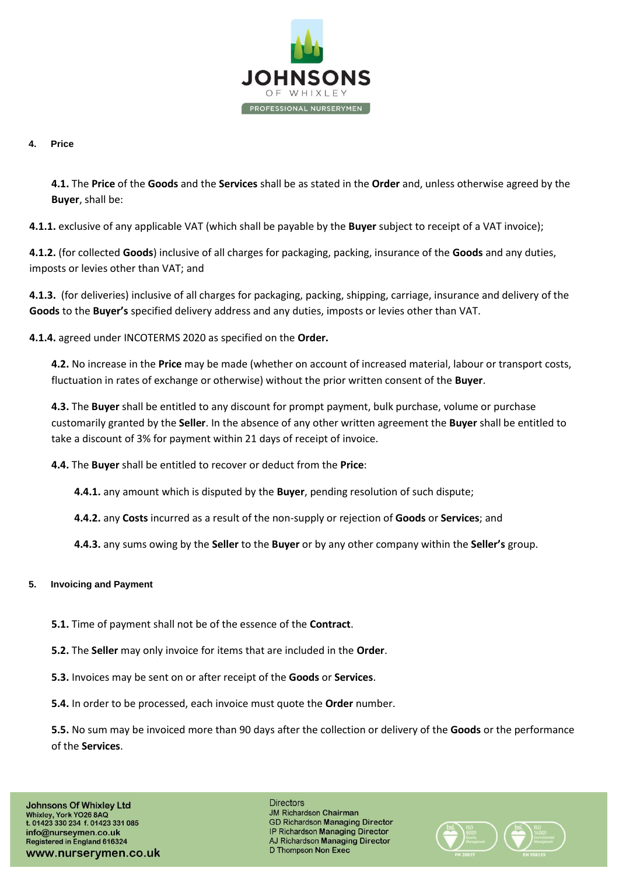

## **4. Price**

**4.1.** The **Price** of the **Goods** and the **Services** shall be as stated in the **Order** and, unless otherwise agreed by the **Buyer**, shall be:

**4.1.1.** exclusive of any applicable VAT (which shall be payable by the **Buyer** subject to receipt of a VAT invoice);

**4.1.2.** (for collected **Goods**) inclusive of all charges for packaging, packing, insurance of the **Goods** and any duties, imposts or levies other than VAT; and

**4.1.3.** (for deliveries) inclusive of all charges for packaging, packing, shipping, carriage, insurance and delivery of the **Goods** to the **Buyer's** specified delivery address and any duties, imposts or levies other than VAT.

**4.1.4.** agreed under INCOTERMS 2020 as specified on the **Order.**

**4.2.** No increase in the **Price** may be made (whether on account of increased material, labour or transport costs, fluctuation in rates of exchange or otherwise) without the prior written consent of the **Buyer**.

**4.3.** The **Buyer** shall be entitled to any discount for prompt payment, bulk purchase, volume or purchase customarily granted by the **Seller**. In the absence of any other written agreement the **Buyer** shall be entitled to take a discount of 3% for payment within 21 days of receipt of invoice.

**4.4.** The **Buyer** shall be entitled to recover or deduct from the **Price**:

**4.4.1.** any amount which is disputed by the **Buyer**, pending resolution of such dispute;

**4.4.2.** any **Costs** incurred as a result of the non-supply or rejection of **Goods** or **Services**; and

**4.4.3.** any sums owing by the **Seller** to the **Buyer** or by any other company within the **Seller's** group.

## **5. Invoicing and Payment**

- **5.1.** Time of payment shall not be of the essence of the **Contract**.
- **5.2.** The **Seller** may only invoice for items that are included in the **Order**.
- **5.3.** Invoices may be sent on or after receipt of the **Goods** or **Services**.
- **5.4.** In order to be processed, each invoice must quote the **Order** number.

**5.5.** No sum may be invoiced more than 90 days after the collection or delivery of the **Goods** or the performance of the **Services**.

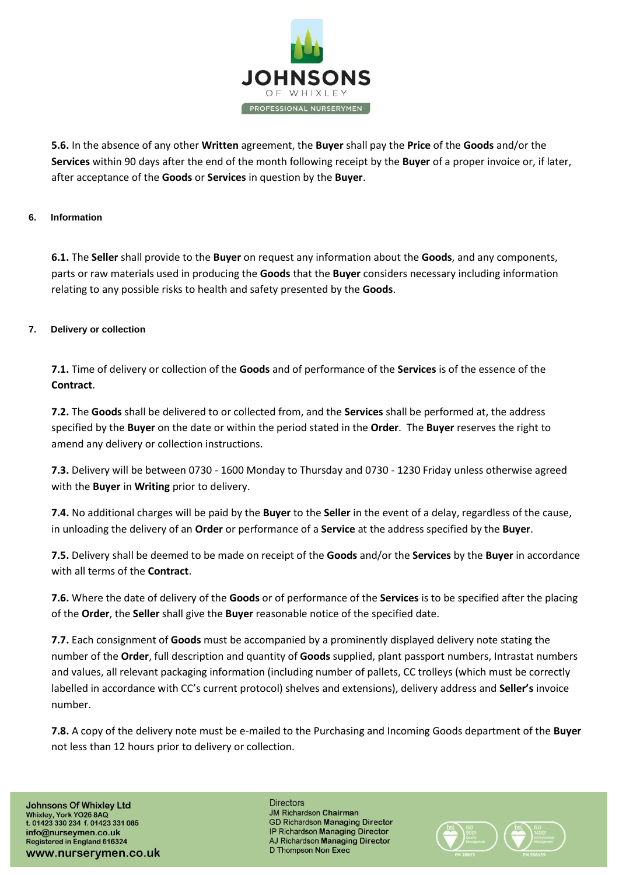

**5.6.** In the absence of any other **Written** agreement, the **Buyer** shall pay the **Price** of the **Goods** and/or the **Services** within 90 days after the end of the month following receipt by the **Buyer** of a proper invoice or, if later, after acceptance of the **Goods** or **Services** in question by the **Buyer**.

## **6. Information**

**6.1.** The **Seller** shall provide to the **Buyer** on request any information about the **Goods**, and any components, parts or raw materials used in producing the **Goods** that the **Buyer** considers necessary including information relating to any possible risks to health and safety presented by the **Goods**.

## **7. Delivery or collection**

**7.1.** Time of delivery or collection of the **Goods** and of performance of the **Services** is of the essence of the **Contract**.

**7.2.** The **Goods** shall be delivered to or collected from, and the **Services** shall be performed at, the address specified by the **Buyer** on the date or within the period stated in the **Order**. The **Buyer** reserves the right to amend any delivery or collection instructions.

**7.3.** Delivery will be between 0730 - 1600 Monday to Thursday and 0730 - 1230 Friday unless otherwise agreed with the **Buyer** in **Writing** prior to delivery.

**7.4.** No additional charges will be paid by the **Buyer** to the **Seller** in the event of a delay, regardless of the cause, in unloading the delivery of an **Order** or performance of a **Service** at the address specified by the **Buyer**.

**7.5.** Delivery shall be deemed to be made on receipt of the **Goods** and/or the **Services** by the **Buyer** in accordance with all terms of the **Contract**.

**7.6.** Where the date of delivery of the **Goods** or of performance of the **Services** is to be specified after the placing of the **Order**, the **Seller** shall give the **Buyer** reasonable notice of the specified date.

**7.7.** Each consignment of **Goods** must be accompanied by a prominently displayed delivery note stating the number of the **Order**, full description and quantity of **Goods** supplied, plant passport numbers, Intrastat numbers and values, all relevant packaging information (including number of pallets, CC trolleys (which must be correctly labelled in accordance with CC's current protocol) shelves and extensions), delivery address and **Seller's** invoice number.

**7.8.** A copy of the delivery note must be e-mailed to the Purchasing and Incoming Goods department of the **Buyer** not less than 12 hours prior to delivery or collection.

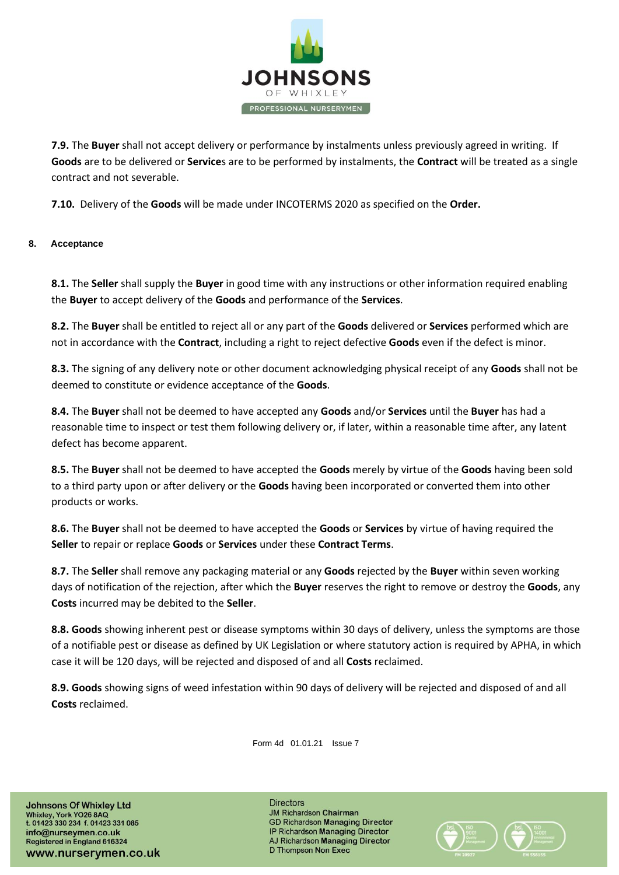

**7.9.** The **Buyer** shall not accept delivery or performance by instalments unless previously agreed in writing. If **Goods** are to be delivered or **Service**s are to be performed by instalments, the **Contract** will be treated as a single contract and not severable.

**7.10.** Delivery of the **Goods** will be made under INCOTERMS 2020 as specified on the **Order.**

## **8. Acceptance**

**8.1.** The **Seller** shall supply the **Buyer** in good time with any instructions or other information required enabling the **Buyer** to accept delivery of the **Goods** and performance of the **Services**.

**8.2.** The **Buyer** shall be entitled to reject all or any part of the **Goods** delivered or **Services** performed which are not in accordance with the **Contract**, including a right to reject defective **Goods** even if the defect is minor.

**8.3.** The signing of any delivery note or other document acknowledging physical receipt of any **Goods** shall not be deemed to constitute or evidence acceptance of the **Goods**.

**8.4.** The **Buyer** shall not be deemed to have accepted any **Goods** and/or **Services** until the **Buyer** has had a reasonable time to inspect or test them following delivery or, if later, within a reasonable time after, any latent defect has become apparent.

**8.5.** The **Buyer** shall not be deemed to have accepted the **Goods** merely by virtue of the **Goods** having been sold to a third party upon or after delivery or the **Goods** having been incorporated or converted them into other products or works.

**8.6.** The **Buyer** shall not be deemed to have accepted the **Goods** or **Services** by virtue of having required the **Seller** to repair or replace **Goods** or **Services** under these **Contract Terms**.

**8.7.** The **Seller** shall remove any packaging material or any **Goods** rejected by the **Buyer** within seven working days of notification of the rejection, after which the **Buyer** reserves the right to remove or destroy the **Goods**, any **Costs** incurred may be debited to the **Seller**.

**8.8. Goods** showing inherent pest or disease symptoms within 30 days of delivery, unless the symptoms are those of a notifiable pest or disease as defined by UK Legislation or where statutory action is required by APHA, in which case it will be 120 days, will be rejected and disposed of and all **Costs** reclaimed.

**8.9. Goods** showing signs of weed infestation within 90 days of delivery will be rejected and disposed of and all **Costs** reclaimed.

Form 4d 01.01.21 Issue 7

**Johnsons Of Whixley Ltd** Whixley, York YO26 8AQ<br>t. 01423 330 234 f. 01423 331 085 info@nurseymen.co.uk Registered in England 616324 www.nurserymen.co.uk

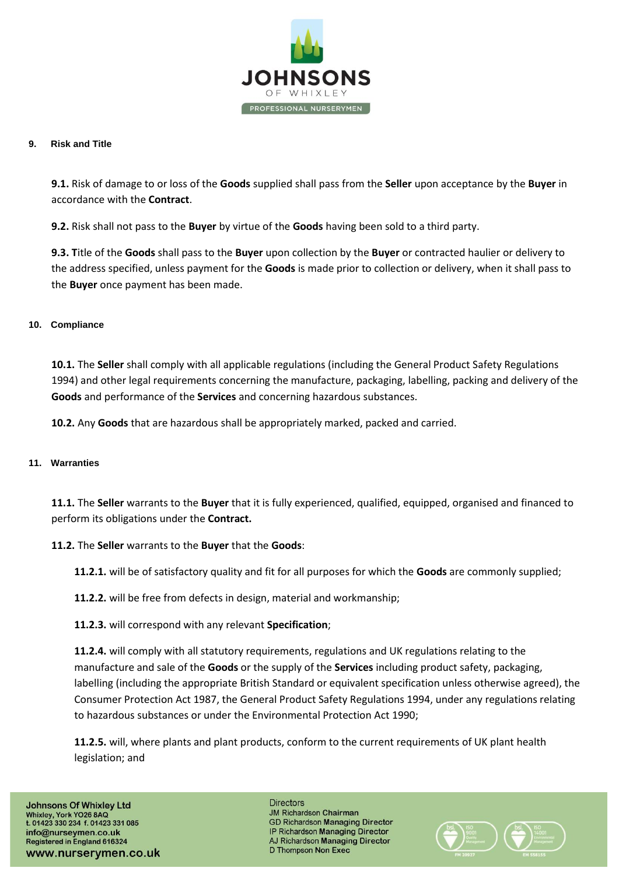

#### **9. Risk and Title**

**9.1.** Risk of damage to or loss of the **Goods** supplied shall pass from the **Seller** upon acceptance by the **Buyer** in accordance with the **Contract**.

**9.2.** Risk shall not pass to the **Buyer** by virtue of the **Goods** having been sold to a third party.

**9.3. T**itle of the **Goods** shall pass to the **Buyer** upon collection by the **Buyer** or contracted haulier or delivery to the address specified, unless payment for the **Goods** is made prior to collection or delivery, when it shall pass to the **Buyer** once payment has been made.

## **10. Compliance**

**10.1.** The **Seller** shall comply with all applicable regulations (including the General Product Safety Regulations 1994) and other legal requirements concerning the manufacture, packaging, labelling, packing and delivery of the **Goods** and performance of the **Services** and concerning hazardous substances.

**10.2.** Any **Goods** that are hazardous shall be appropriately marked, packed and carried.

## **11. Warranties**

**11.1.** The **Seller** warrants to the **Buyer** that it is fully experienced, qualified, equipped, organised and financed to perform its obligations under the **Contract.** 

## **11.2.** The **Seller** warrants to the **Buyer** that the **Goods**:

**11.2.1.** will be of satisfactory quality and fit for all purposes for which the **Goods** are commonly supplied;

- **11.2.2.** will be free from defects in design, material and workmanship;
- **11.2.3.** will correspond with any relevant **Specification**;

**11.2.4.** will comply with all statutory requirements, regulations and UK regulations relating to the manufacture and sale of the **Goods** or the supply of the **Services** including product safety, packaging, labelling (including the appropriate British Standard or equivalent specification unless otherwise agreed), the Consumer Protection Act 1987, the General Product Safety Regulations 1994, under any regulations relating to hazardous substances or under the Environmental Protection Act 1990;

**11.2.5.** will, where plants and plant products, conform to the current requirements of UK plant health legislation; and

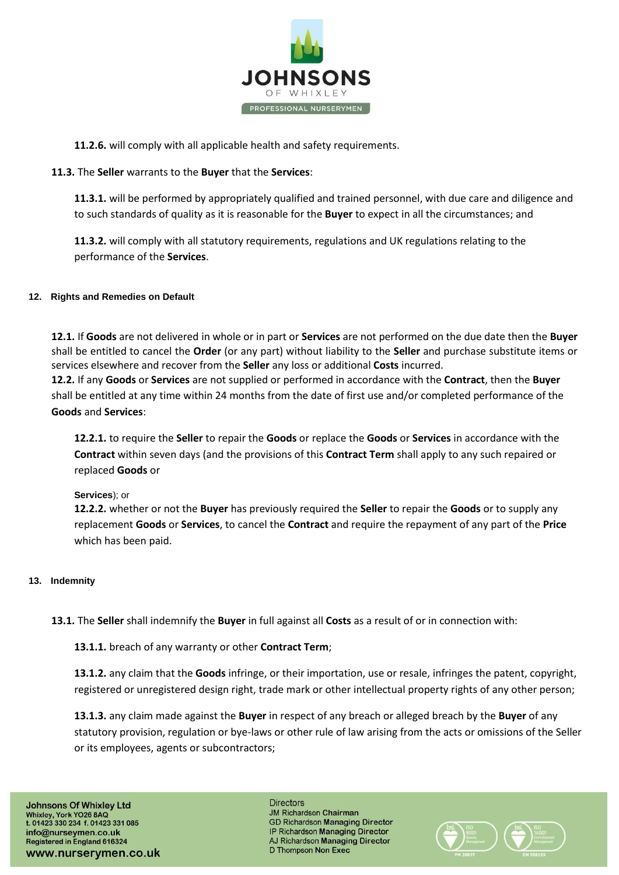

**11.2.6.** will comply with all applicable health and safety requirements.

## **11.3.** The **Seller** warrants to the **Buyer** that the **Services**:

**11.3.1.** will be performed by appropriately qualified and trained personnel, with due care and diligence and to such standards of quality as it is reasonable for the **Buyer** to expect in all the circumstances; and

**11.3.2.** will comply with all statutory requirements, regulations and UK regulations relating to the performance of the **Services**.

## **12. Rights and Remedies on Default**

**12.1.** If **Goods** are not delivered in whole or in part or **Services** are not performed on the due date then the **Buyer** shall be entitled to cancel the **Order** (or any part) without liability to the **Seller** and purchase substitute items or services elsewhere and recover from the **Seller** any loss or additional **Costs** incurred.

**12.2.** If any **Goods** or **Services** are not supplied or performed in accordance with the **Contract**, then the **Buyer** shall be entitled at any time within 24 months from the date of first use and/or completed performance of the **Goods** and **Services**:

**12.2.1.** to require the **Seller** to repair the **Goods** or replace the **Goods** or **Services** in accordance with the **Contract** within seven days (and the provisions of this **Contract Term** shall apply to any such repaired or replaced **Goods** or

#### **Services**); or

**12.2.2.** whether or not the **Buyer** has previously required the **Seller** to repair the **Goods** or to supply any replacement **Goods** or **Services**, to cancel the **Contract** and require the repayment of any part of the **Price** which has been paid.

#### **13. Indemnity**

**13.1.** The **Seller** shall indemnify the **Buyer** in full against all **Costs** as a result of or in connection with:

**13.1.1.** breach of any warranty or other **Contract Term**;

**13.1.2.** any claim that the **Goods** infringe, or their importation, use or resale, infringes the patent, copyright, registered or unregistered design right, trade mark or other intellectual property rights of any other person;

**13.1.3.** any claim made against the **Buyer** in respect of any breach or alleged breach by the **Buyer** of any statutory provision, regulation or bye-laws or other rule of law arising from the acts or omissions of the Seller or its employees, agents or subcontractors;

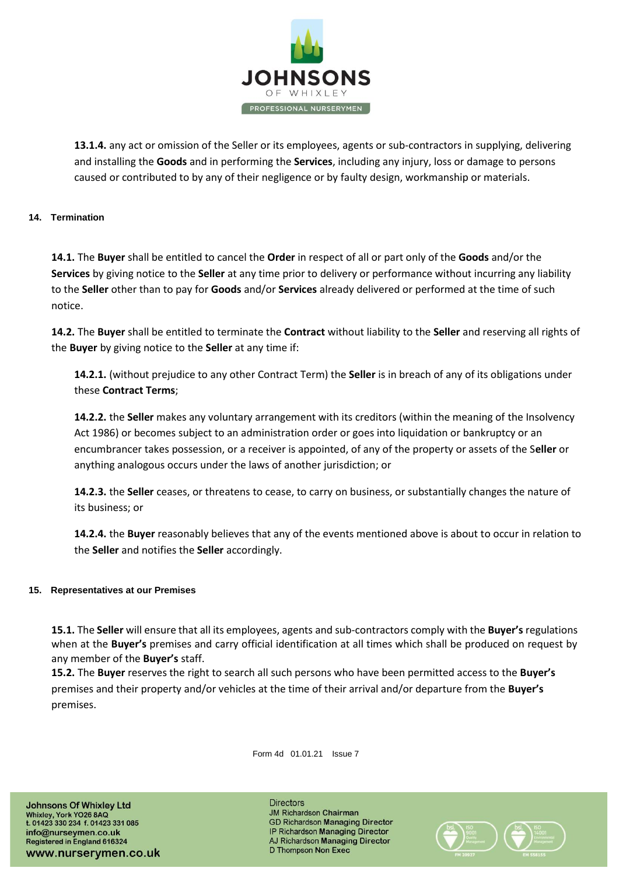

**13.1.4.** any act or omission of the Seller or its employees, agents or sub-contractors in supplying, delivering and installing the **Goods** and in performing the **Services**, including any injury, loss or damage to persons caused or contributed to by any of their negligence or by faulty design, workmanship or materials.

## **14. Termination**

**14.1.** The **Buyer** shall be entitled to cancel the **Order** in respect of all or part only of the **Goods** and/or the **Services** by giving notice to the **Seller** at any time prior to delivery or performance without incurring any liability to the **Seller** other than to pay for **Goods** and/or **Services** already delivered or performed at the time of such notice.

**14.2.** The **Buyer** shall be entitled to terminate the **Contract** without liability to the **Seller** and reserving all rights of the **Buyer** by giving notice to the **Seller** at any time if:

**14.2.1.** (without prejudice to any other Contract Term) the **Seller** is in breach of any of its obligations under these **Contract Terms**;

**14.2.2.** the **Seller** makes any voluntary arrangement with its creditors (within the meaning of the Insolvency Act 1986) or becomes subject to an administration order or goes into liquidation or bankruptcy or an encumbrancer takes possession, or a receiver is appointed, of any of the property or assets of the S**eller** or anything analogous occurs under the laws of another jurisdiction; or

**14.2.3.** the **Seller** ceases, or threatens to cease, to carry on business, or substantially changes the nature of its business; or

**14.2.4.** the **Buyer** reasonably believes that any of the events mentioned above is about to occur in relation to the **Seller** and notifies the **Seller** accordingly.

## **15. Representatives at our Premises**

**15.1.** The **Seller** will ensure that all its employees, agents and sub-contractors comply with the **Buyer's** regulations when at the **Buyer's** premises and carry official identification at all times which shall be produced on request by any member of the **Buyer's** staff.

**15.2.** The **Buyer** reserves the right to search all such persons who have been permitted access to the **Buyer's** premises and their property and/or vehicles at the time of their arrival and/or departure from the **Buyer's** premises.

Form 4d 01.01.21 Issue 7

**Johnsons Of Whixley Ltd** Whixley, York YO26 8AQ<br>t. 01423 330 234 f. 01423 331 085 info@nurseymen.co.uk Registered in England 616324 www.nurserymen.co.uk

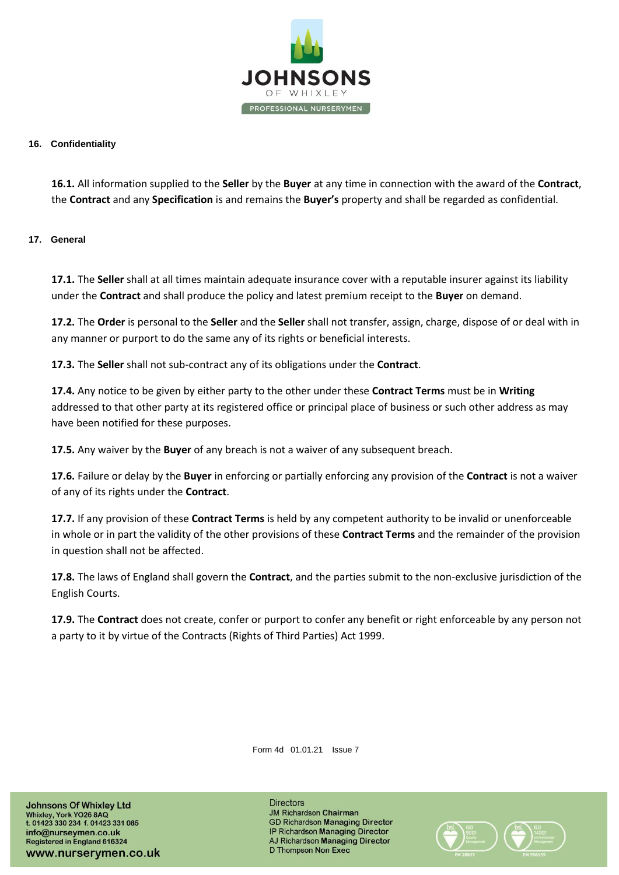

#### **16. Confidentiality**

**16.1.** All information supplied to the **Seller** by the **Buyer** at any time in connection with the award of the **Contract**, the **Contract** and any **Specification** is and remains the **Buyer's** property and shall be regarded as confidential.

#### **17. General**

**17.1.** The **Seller** shall at all times maintain adequate insurance cover with a reputable insurer against its liability under the **Contract** and shall produce the policy and latest premium receipt to the **Buyer** on demand.

**17.2.** The **Order** is personal to the **Seller** and the **Seller** shall not transfer, assign, charge, dispose of or deal with in any manner or purport to do the same any of its rights or beneficial interests.

**17.3.** The **Seller** shall not sub-contract any of its obligations under the **Contract**.

**17.4.** Any notice to be given by either party to the other under these **Contract Terms** must be in **Writing** addressed to that other party at its registered office or principal place of business or such other address as may have been notified for these purposes.

**17.5.** Any waiver by the **Buyer** of any breach is not a waiver of any subsequent breach.

**17.6.** Failure or delay by the **Buyer** in enforcing or partially enforcing any provision of the **Contract** is not a waiver of any of its rights under the **Contract**.

**17.7.** If any provision of these **Contract Terms** is held by any competent authority to be invalid or unenforceable in whole or in part the validity of the other provisions of these **Contract Terms** and the remainder of the provision in question shall not be affected.

**17.8.** The laws of England shall govern the **Contract**, and the parties submit to the non-exclusive jurisdiction of the English Courts.

**17.9.** The **Contract** does not create, confer or purport to confer any benefit or right enforceable by any person not a party to it by virtue of the Contracts (Rights of Third Parties) Act 1999.

Form 4d 01.01.21 Issue 7

**Johnsons Of Whixley Ltd** Whixley, York YO26 8AQ<br>t. 01423 330 234 f. 01423 331 085 info@nurseymen.co.uk Registered in England 616324 www.nurserymen.co.uk

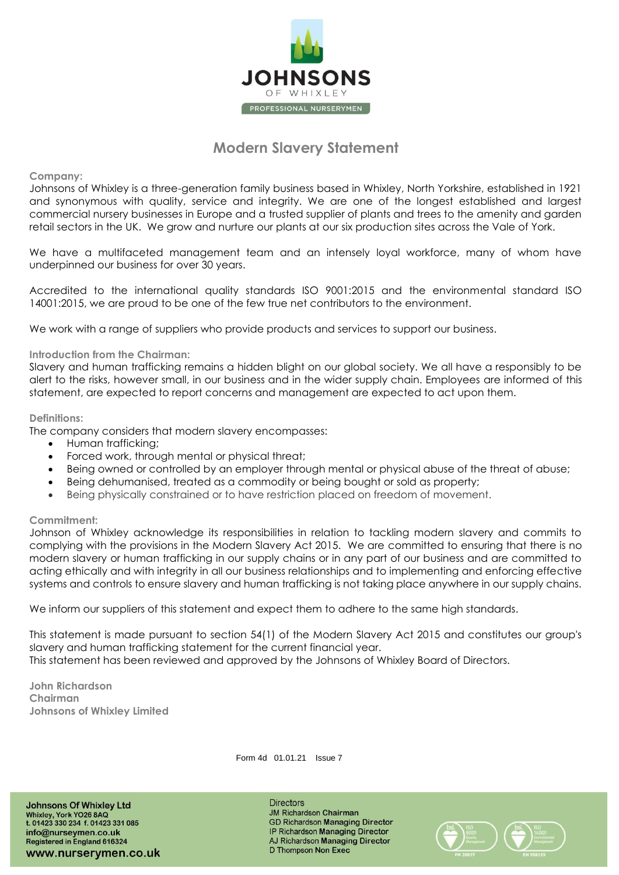

# **Modern Slavery Statement**

**Company:**

Johnsons of Whixley is a three-generation family business based in Whixley, North Yorkshire, established in 1921 and synonymous with quality, service and integrity. We are one of the longest established and largest commercial nursery businesses in Europe and a trusted supplier of plants and trees to the amenity and garden retail sectors in the UK. We grow and nurture our plants at our six production sites across the Vale of York.

We have a multifaceted management team and an intensely loyal workforce, many of whom have underpinned our business for over 30 years.

Accredited to the international quality standards ISO 9001:2015 and the environmental standard ISO 14001:2015, we are proud to be one of the few true net contributors to the environment.

We work with a range of suppliers who provide products and services to support our business.

#### **Introduction from the Chairman:**

Slavery and human trafficking remains a hidden blight on our global society. We all have a responsibly to be alert to the risks, however small, in our business and in the wider supply chain. Employees are informed of this statement, are expected to report concerns and management are expected to act upon them.

#### **Definitions:**

The company considers that modern slavery encompasses:

- Human trafficking;
- Forced work, through mental or physical threat;
- Being owned or controlled by an employer through mental or physical abuse of the threat of abuse;
- Being dehumanised, treated as a commodity or being bought or sold as property;
- Being physically constrained or to have restriction placed on freedom of movement.

#### **Commitment:**

Johnson of Whixley acknowledge its responsibilities in relation to tackling modern slavery and commits to complying with the provisions in the Modern Slavery Act 2015. We are committed to ensuring that there is no modern slavery or human trafficking in our supply chains or in any part of our business and are committed to acting ethically and with integrity in all our business relationships and to implementing and enforcing effective systems and controls to ensure slavery and human trafficking is not taking place anywhere in our supply chains.

We inform our suppliers of this statement and expect them to adhere to the same high standards.

This statement is made pursuant to section 54(1) of the Modern Slavery Act 2015 and constitutes our group's slavery and human trafficking statement for the current financial year. This statement has been reviewed and approved by the Johnsons of Whixley Board of Directors.

**John Richardson Chairman Johnsons of Whixley Limited** 

Form 4d 01.01.21 Issue 7

**Johnsons Of Whixley Ltd** Whixley, York YO26 8AQ<br>t. 01423 330 234 f. 01423 331 085 info@nurseymen.co.uk Registered in England 616324 www.nurserymen.co.uk